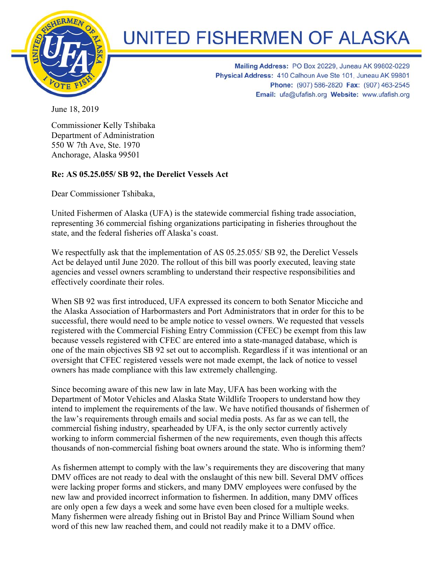

## **UNITED FISHERMEN OF ALASKA**

Mailing Address: PO Box 20229, Juneau AK 99802-0229 Physical Address: 410 Calhoun Ave Ste 101, Juneau AK 99801 Phone: (907) 586-2820 Fax: (907) 463-2545 Email: ufa@ufafish.org Website: www.ufafish.org

June 18, 2019

Commissioner Kelly Tshibaka Department of Administration 550 W 7th Ave, Ste. 1970 Anchorage, Alaska 99501

## **Re: AS 05.25.055/ SB 92, the Derelict Vessels Act**

Dear Commissioner Tshibaka,

United Fishermen of Alaska (UFA) is the statewide commercial fishing trade association, representing 36 commercial fishing organizations participating in fisheries throughout the state, and the federal fisheries off Alaska's coast.

We respectfully ask that the implementation of AS 05.25.055/ SB 92, the Derelict Vessels Act be delayed until June 2020. The rollout of this bill was poorly executed, leaving state agencies and vessel owners scrambling to understand their respective responsibilities and effectively coordinate their roles.

When SB 92 was first introduced, UFA expressed its concern to both Senator Micciche and the Alaska Association of Harbormasters and Port Administrators that in order for this to be successful, there would need to be ample notice to vessel owners. We requested that vessels registered with the Commercial Fishing Entry Commission (CFEC) be exempt from this law because vessels registered with CFEC are entered into a state-managed database, which is one of the main objectives SB 92 set out to accomplish. Regardless if it was intentional or an oversight that CFEC registered vessels were not made exempt, the lack of notice to vessel owners has made compliance with this law extremely challenging.

Since becoming aware of this new law in late May, UFA has been working with the Department of Motor Vehicles and Alaska State Wildlife Troopers to understand how they intend to implement the requirements of the law. We have notified thousands of fishermen of the law's requirements through emails and social media posts. As far as we can tell, the commercial fishing industry, spearheaded by UFA, is the only sector currently actively working to inform commercial fishermen of the new requirements, even though this affects thousands of non-commercial fishing boat owners around the state. Who is informing them?

As fishermen attempt to comply with the law's requirements they are discovering that many DMV offices are not ready to deal with the onslaught of this new bill. Several DMV offices were lacking proper forms and stickers, and many DMV employees were confused by the new law and provided incorrect information to fishermen. In addition, many DMV offices are only open a few days a week and some have even been closed for a multiple weeks. Many fishermen were already fishing out in Bristol Bay and Prince William Sound when word of this new law reached them, and could not readily make it to a DMV office.